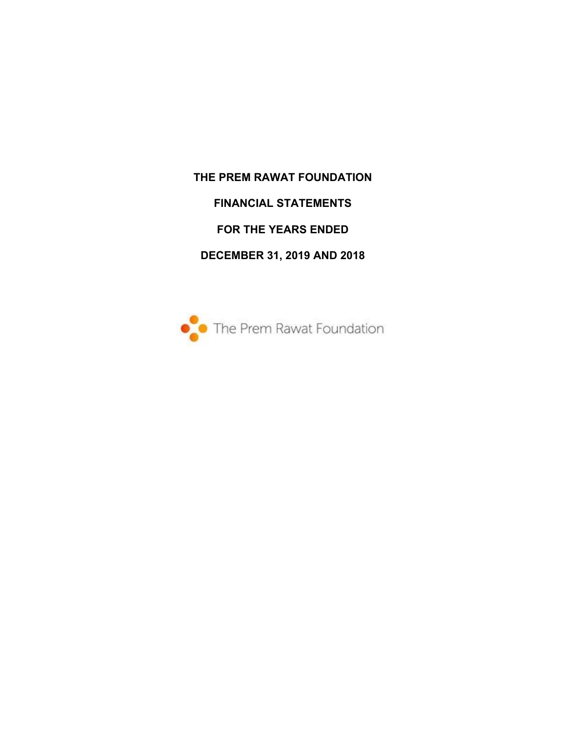**THE PREM RAWAT FOUNDATION FINANCIAL STATEMENTS FOR THE YEARS ENDED DECEMBER 31, 2019 AND 2018** 

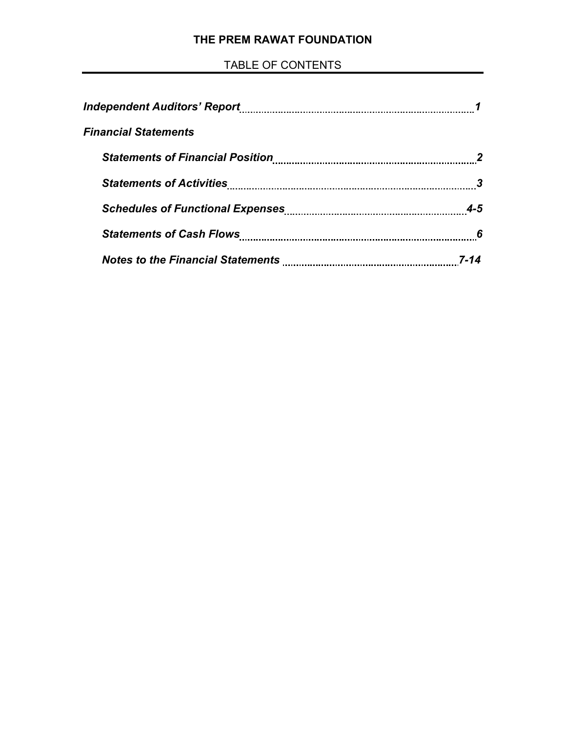# **THE PREM RAWAT FOUNDATION**

# TABLE OF CONTENTS

| <i><b>Financial Statements</b></i> |         |
|------------------------------------|---------|
|                                    |         |
|                                    |         |
|                                    | $4 - 5$ |
|                                    | 6       |
|                                    |         |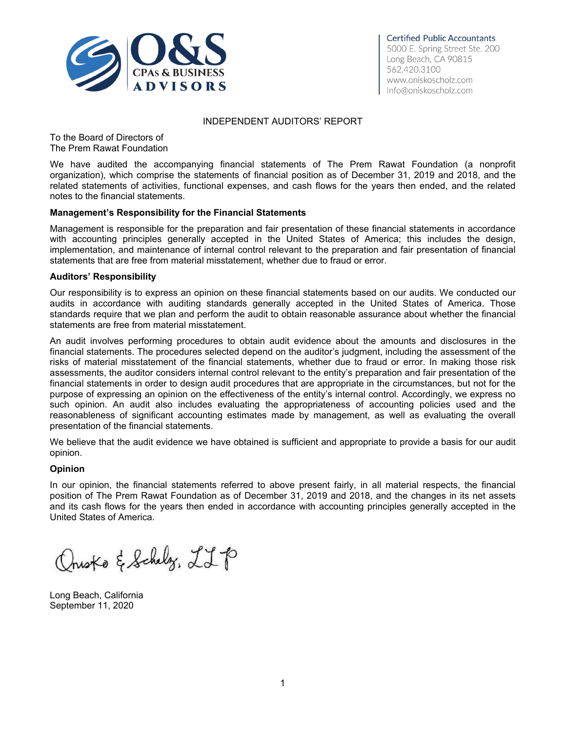

#### INDEPENDENT AUDITORS' REPORT

To the Board of Directors of The Prem Rawat Foundation

We have audited the accompanying financial statements of The Prem Rawat Foundation (a nonprofit organization), which comprise the statements of financial position as of December 31, 2019 and 2018, and the related statements of activities, functional expenses, and cash flows for the years then ended, and the related notes to the financial statements.

#### **Management's Responsibility for the Financial Statements**

Management is responsible for the preparation and fair presentation of these financial statements in accordance with accounting principles generally accepted in the United States of America; this includes the design, implementation, and maintenance of internal control relevant to the preparation and fair presentation of financial statements that are free from material misstatement, whether due to fraud or error.

#### **Auditors' Responsibility**

Our responsibility is to express an opinion on these financial statements based on our audits. We conducted our audits in accordance with auditing standards generally accepted in the United States of America. Those standards require that we plan and perform the audit to obtain reasonable assurance about whether the financial statements are free from material misstatement.

An audit involves performing procedures to obtain audit evidence about the amounts and disclosures in the financial statements. The procedures selected depend on the auditor's judgment, including the assessment of the risks of material misstatement of the financial statements, whether due to fraud or error. In making those risk assessments, the auditor considers internal control relevant to the entity's preparation and fair presentation of the financial statements in order to design audit procedures that are appropriate in the circumstances, but not for the purpose of expressing an opinion on the effectiveness of the entity's internal control. Accordingly, we express no such opinion. An audit also includes evaluating the appropriateness of accounting policies used and the reasonableness of significant accounting estimates made by management, as well as evaluating the overall presentation of the financial statements.

We believe that the audit evidence we have obtained is sufficient and appropriate to provide a basis for our audit opinion.

#### **Opinion**

In our opinion, the financial statements referred to above present fairly, in all material respects, the financial position of The Prem Rawat Foundation as of December 31, 2019 and 2018, and the changes in its net assets and its cash flows for the years then ended in accordance with accounting principles generally accepted in the United States of America.

Qrusto & Schelz, LLP

Long Beach, California September 11, 2020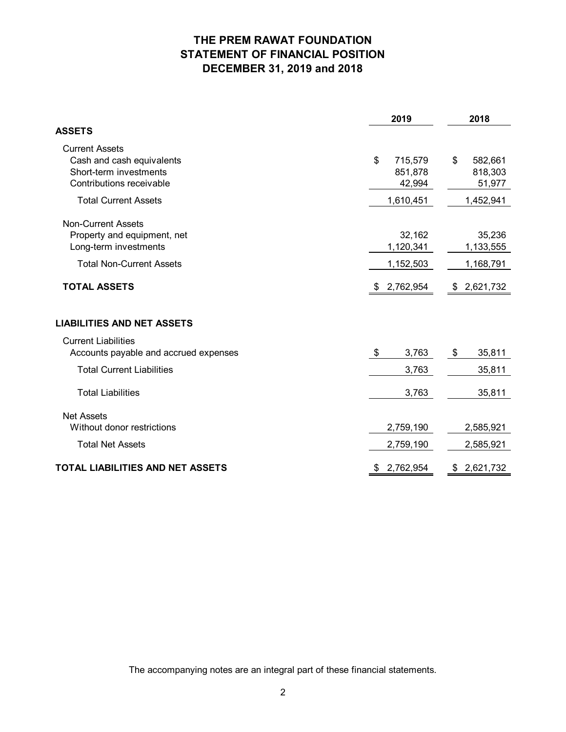# **THE PREM RAWAT FOUNDATION STATEMENT OF FINANCIAL POSITION DECEMBER 31, 2019 and 2018**

|                                                                                                          | 2019                               | 2018                               |
|----------------------------------------------------------------------------------------------------------|------------------------------------|------------------------------------|
| <b>ASSETS</b>                                                                                            |                                    |                                    |
| <b>Current Assets</b><br>Cash and cash equivalents<br>Short-term investments<br>Contributions receivable | \$<br>715,579<br>851,878<br>42,994 | \$<br>582,661<br>818,303<br>51,977 |
| <b>Total Current Assets</b>                                                                              | 1,610,451                          | 1,452,941                          |
| <b>Non-Current Assets</b><br>Property and equipment, net<br>Long-term investments                        | 32,162<br>1,120,341                | 35,236<br>1,133,555                |
| <b>Total Non-Current Assets</b>                                                                          | 1,152,503                          | 1,168,791                          |
| <b>TOTAL ASSETS</b>                                                                                      | \$2,762,954                        | \$2,621,732                        |
| <b>LIABILITIES AND NET ASSETS</b>                                                                        |                                    |                                    |
| <b>Current Liabilities</b><br>Accounts payable and accrued expenses<br><b>Total Current Liabilities</b>  | \$<br>3,763<br>3,763               | \$<br>35,811<br>35,811             |
| <b>Total Liabilities</b>                                                                                 | 3,763                              | 35,811                             |
| <b>Net Assets</b><br>Without donor restrictions<br><b>Total Net Assets</b>                               | 2,759,190<br>2,759,190             | 2,585,921<br>2,585,921             |
| TOTAL LIABILITIES AND NET ASSETS                                                                         | 2,762,954<br>\$                    | 2,621,732<br>\$                    |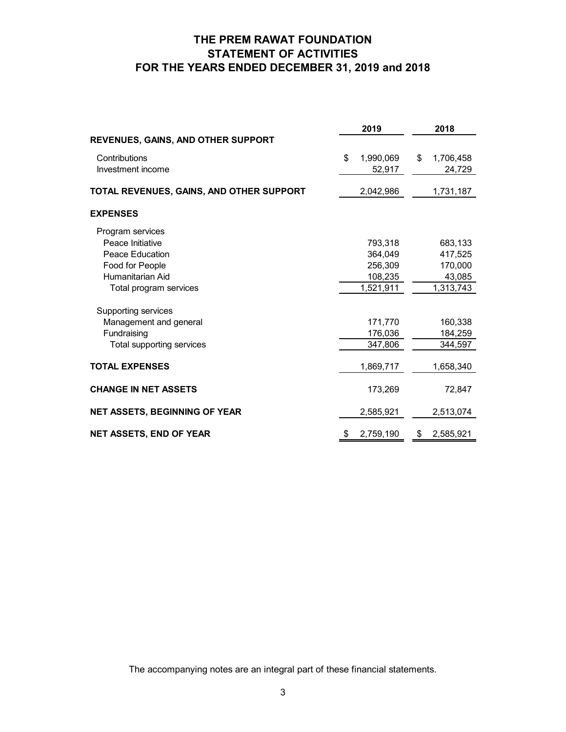# **THE PREM RAWAT FOUNDATION STATEMENT OF ACTIVITIES FOR THE YEARS ENDED DECEMBER 31, 2019 and 2018**

|                                           | 2019            | 2018            |
|-------------------------------------------|-----------------|-----------------|
| <b>REVENUES, GAINS, AND OTHER SUPPORT</b> |                 |                 |
| Contributions                             | \$<br>1,990,069 | \$<br>1,706,458 |
| Investment income                         | 52,917          | 24,729          |
| TOTAL REVENUES, GAINS, AND OTHER SUPPORT  | 2,042,986       | 1,731,187       |
| <b>EXPENSES</b>                           |                 |                 |
| Program services                          |                 |                 |
| Peace Initiative                          | 793,318         | 683,133         |
| Peace Education                           | 364,049         | 417,525         |
| Food for People                           | 256,309         | 170,000         |
| Humanitarian Aid                          | 108,235         | 43,085          |
| Total program services                    | 1,521,911       | 1,313,743       |
| Supporting services                       |                 |                 |
| Management and general                    | 171,770         | 160,338         |
| Fundraising                               | 176,036         | 184,259         |
| Total supporting services                 | 347,806         | 344,597         |
| <b>TOTAL EXPENSES</b>                     | 1,869,717       | 1,658,340       |
| <b>CHANGE IN NET ASSETS</b>               | 173,269         | 72,847          |
| <b>NET ASSETS, BEGINNING OF YEAR</b>      | 2,585,921       | 2,513,074       |
| <b>NET ASSETS, END OF YEAR</b>            | \$<br>2,759,190 | \$<br>2,585,921 |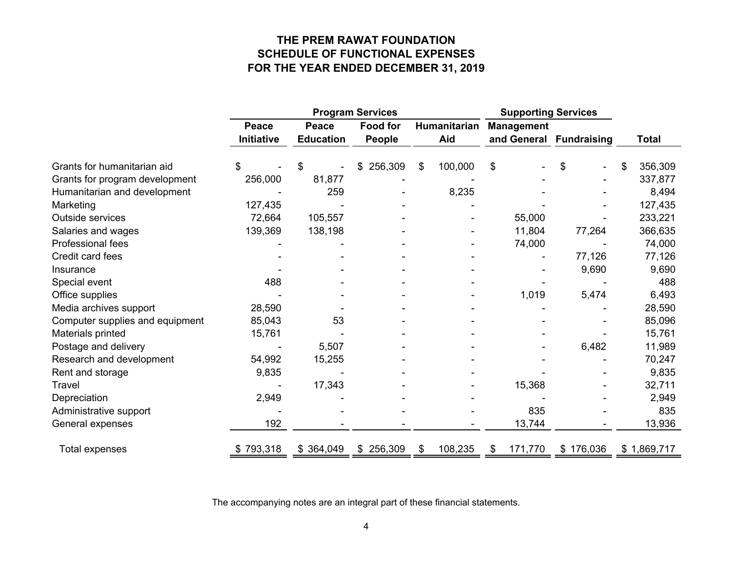# **THE PREM RAWAT FOUNDATION SCHEDULE OF FUNCTIONAL EXPENSES FOR THE YEAR ENDED DECEMBER 31, 2019**

|                                 |            | <b>Program Services</b> |                 |    | <b>Supporting Services</b> |    |                   |                         |               |
|---------------------------------|------------|-------------------------|-----------------|----|----------------------------|----|-------------------|-------------------------|---------------|
|                                 | Peace      | Peace                   | <b>Food for</b> |    | Humanitarian               |    | <b>Management</b> |                         |               |
|                                 | Initiative | <b>Education</b>        | <b>People</b>   |    | Aid                        |    |                   | and General Fundraising | <b>Total</b>  |
| Grants for humanitarian aid     | \$         | \$                      | 256,309         | \$ | 100,000                    | \$ |                   | \$                      | \$<br>356,309 |
| Grants for program development  | 256,000    | 81,877                  |                 |    |                            |    |                   |                         | 337,877       |
| Humanitarian and development    |            | 259                     |                 |    | 8,235                      |    |                   |                         | 8,494         |
| Marketing                       | 127,435    |                         |                 |    |                            |    |                   |                         | 127,435       |
| Outside services                | 72,664     | 105,557                 |                 |    |                            |    | 55,000            |                         | 233,221       |
| Salaries and wages              | 139,369    | 138,198                 |                 |    |                            |    | 11,804            | 77,264                  | 366,635       |
| Professional fees               |            |                         |                 |    |                            |    | 74,000            |                         | 74,000        |
| Credit card fees                |            |                         |                 |    |                            |    |                   | 77,126                  | 77,126        |
| Insurance                       |            |                         |                 |    |                            |    |                   | 9,690                   | 9,690         |
| Special event                   | 488        |                         |                 |    |                            |    |                   |                         | 488           |
| Office supplies                 |            |                         |                 |    |                            |    | 1,019             | 5,474                   | 6,493         |
| Media archives support          | 28,590     |                         |                 |    |                            |    |                   |                         | 28,590        |
| Computer supplies and equipment | 85,043     | 53                      |                 |    |                            |    |                   |                         | 85,096        |
| Materials printed               | 15,761     |                         |                 |    |                            |    |                   |                         | 15,761        |
| Postage and delivery            |            | 5,507                   |                 |    |                            |    |                   | 6,482                   | 11,989        |
| Research and development        | 54,992     | 15,255                  |                 |    |                            |    |                   |                         | 70,247        |
| Rent and storage                | 9,835      |                         |                 |    |                            |    |                   |                         | 9,835         |
| Travel                          |            | 17,343                  |                 |    |                            |    | 15,368            |                         | 32,711        |
| Depreciation                    | 2,949      |                         |                 |    |                            |    |                   |                         | 2,949         |
| Administrative support          |            |                         |                 |    |                            |    | 835               |                         | 835           |
| General expenses                | 192        |                         |                 |    |                            |    | 13,744            |                         | 13,936        |
| Total expenses                  | \$793,318  | \$364,049               | \$256,309       | \$ | 108,235                    | \$ | 171,770           | \$176,036               | \$1,869,717   |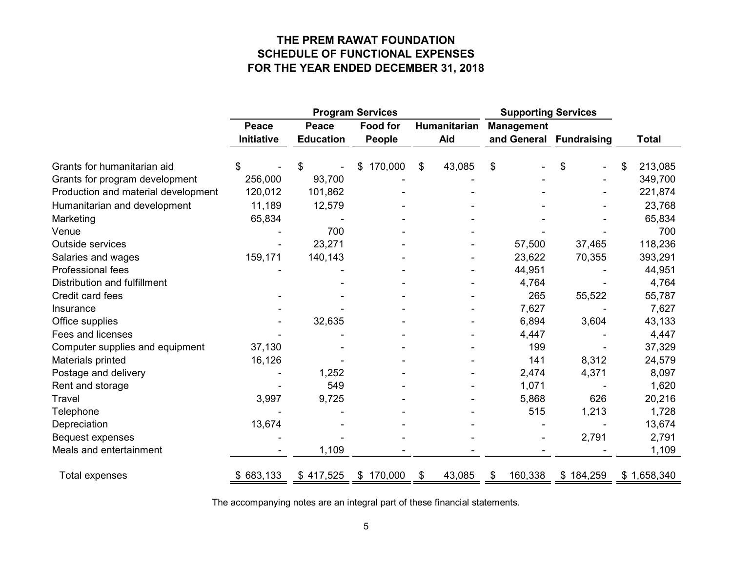# **THE PREM RAWAT FOUNDATION SCHEDULE OF FUNCTIONAL EXPENSES FOR THE YEAR ENDED DECEMBER 31, 2018**

|                                     | <b>Program Services</b> |                  |                 |    | <b>Supporting Services</b> |                   |                    |    |              |
|-------------------------------------|-------------------------|------------------|-----------------|----|----------------------------|-------------------|--------------------|----|--------------|
|                                     | Peace                   | <b>Peace</b>     | <b>Food for</b> |    | Humanitarian               | <b>Management</b> |                    |    |              |
|                                     | <b>Initiative</b>       | <b>Education</b> | People          |    | Aid                        | and General       | <b>Fundraising</b> |    | <b>Total</b> |
| Grants for humanitarian aid         | SS                      | \$               | 170,000         | \$ | 43,085                     | \$                | \$                 | \$ | 213,085      |
| Grants for program development      | 256,000                 | 93,700           |                 |    |                            |                   |                    |    | 349,700      |
| Production and material development | 120,012                 | 101,862          |                 |    |                            |                   |                    |    | 221,874      |
| Humanitarian and development        | 11,189                  | 12,579           |                 |    |                            |                   |                    |    | 23,768       |
| Marketing                           | 65,834                  |                  |                 |    |                            |                   |                    |    | 65,834       |
| Venue                               |                         | 700              |                 |    |                            |                   |                    |    | 700          |
| Outside services                    |                         | 23,271           |                 |    |                            | 57,500            | 37,465             |    | 118,236      |
| Salaries and wages                  | 159,171                 | 140,143          |                 |    |                            | 23,622            | 70,355             |    | 393,291      |
| Professional fees                   |                         |                  |                 |    |                            | 44,951            |                    |    | 44,951       |
| Distribution and fulfillment        |                         |                  |                 |    |                            | 4,764             |                    |    | 4,764        |
| Credit card fees                    |                         |                  |                 |    |                            | 265               | 55,522             |    | 55,787       |
| Insurance                           |                         |                  |                 |    |                            | 7,627             |                    |    | 7,627        |
| Office supplies                     |                         | 32,635           |                 |    |                            | 6,894             | 3,604              |    | 43,133       |
| Fees and licenses                   |                         |                  |                 |    |                            | 4,447             |                    |    | 4,447        |
| Computer supplies and equipment     | 37,130                  |                  |                 |    |                            | 199               |                    |    | 37,329       |
| Materials printed                   | 16,126                  |                  |                 |    |                            | 141               | 8,312              |    | 24,579       |
| Postage and delivery                |                         | 1,252            |                 |    |                            | 2,474             | 4,371              |    | 8,097        |
| Rent and storage                    |                         | 549              |                 |    |                            | 1,071             |                    |    | 1,620        |
| <b>Travel</b>                       | 3,997                   | 9,725            |                 |    |                            | 5,868             | 626                |    | 20,216       |
| Telephone                           |                         |                  |                 |    |                            | 515               | 1,213              |    | 1,728        |
| Depreciation                        | 13,674                  |                  |                 |    |                            |                   |                    |    | 13,674       |
| <b>Bequest expenses</b>             |                         |                  |                 |    |                            |                   | 2,791              |    | 2,791        |
| Meals and entertainment             |                         | 1,109            |                 |    |                            |                   |                    |    | 1,109        |
| <b>Total expenses</b>               | \$683,133               | \$417,525        | \$170,000       | \$ | 43,085                     | 160,338<br>\$     | \$184,259          |    | \$1,658,340  |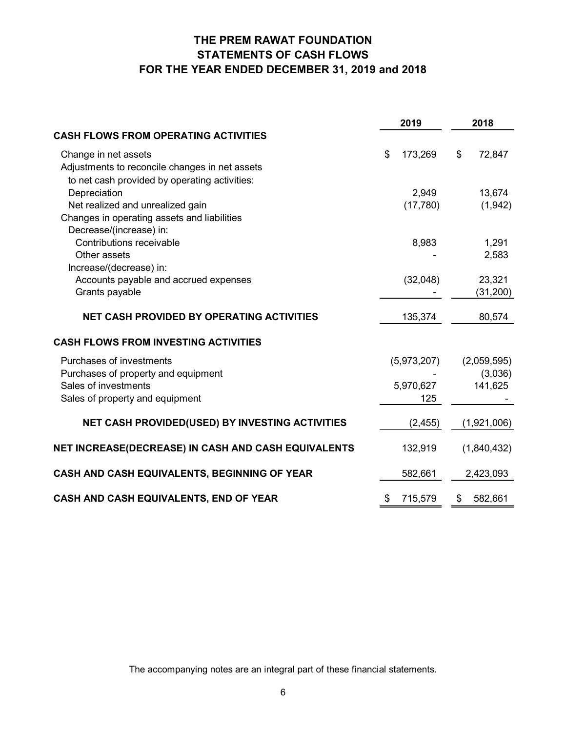# **THE PREM RAWAT FOUNDATION STATEMENTS OF CASH FLOWS FOR THE YEAR ENDED DECEMBER 31, 2019 and 2018**

|                                                     |    | 2019        | 2018 |             |  |
|-----------------------------------------------------|----|-------------|------|-------------|--|
| <b>CASH FLOWS FROM OPERATING ACTIVITIES</b>         |    |             |      |             |  |
| Change in net assets                                | \$ | 173,269     | \$   | 72,847      |  |
| Adjustments to reconcile changes in net assets      |    |             |      |             |  |
| to net cash provided by operating activities:       |    |             |      |             |  |
| Depreciation                                        |    | 2,949       |      | 13,674      |  |
| Net realized and unrealized gain                    |    | (17,780)    |      | (1, 942)    |  |
| Changes in operating assets and liabilities         |    |             |      |             |  |
| Decrease/(increase) in:                             |    |             |      |             |  |
| Contributions receivable                            |    | 8,983       |      | 1,291       |  |
| Other assets                                        |    |             |      | 2,583       |  |
| Increase/(decrease) in:                             |    |             |      |             |  |
| Accounts payable and accrued expenses               |    | (32,048)    |      | 23,321      |  |
| Grants payable                                      |    |             |      | (31, 200)   |  |
| <b>NET CASH PROVIDED BY OPERATING ACTIVITIES</b>    |    | 135,374     |      | 80,574      |  |
| <b>CASH FLOWS FROM INVESTING ACTIVITIES</b>         |    |             |      |             |  |
| Purchases of investments                            |    | (5,973,207) |      | (2,059,595) |  |
| Purchases of property and equipment                 |    |             |      | (3,036)     |  |
| Sales of investments                                |    | 5,970,627   |      | 141,625     |  |
| Sales of property and equipment                     |    | 125         |      |             |  |
| NET CASH PROVIDED(USED) BY INVESTING ACTIVITIES     |    | (2, 455)    |      | (1,921,006) |  |
|                                                     |    |             |      |             |  |
| NET INCREASE(DECREASE) IN CASH AND CASH EQUIVALENTS |    | 132,919     |      | (1,840,432) |  |
| CASH AND CASH EQUIVALENTS, BEGINNING OF YEAR        |    | 582,661     |      | 2,423,093   |  |
| CASH AND CASH EQUIVALENTS, END OF YEAR              | \$ | 715,579     | \$   | 582,661     |  |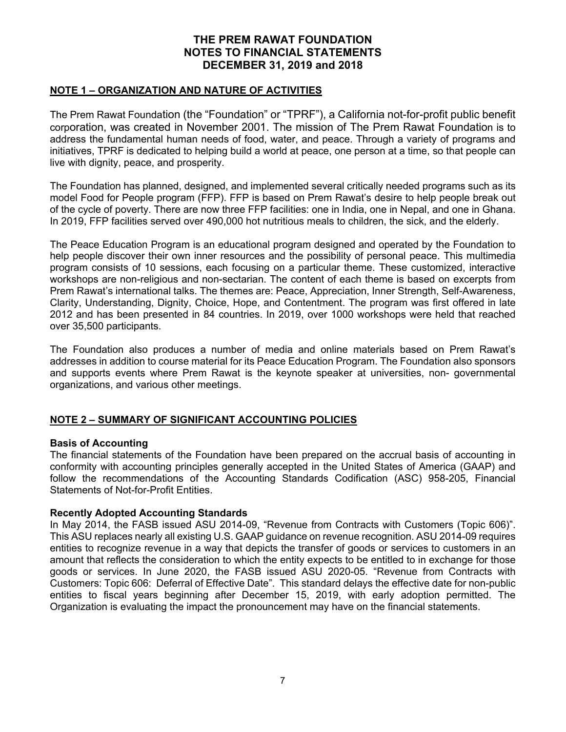#### **NOTE 1 – ORGANIZATION AND NATURE OF ACTIVITIES**

The Prem Rawat Foundation (the "Foundation" or "TPRF"), a California not-for-profit public benefit corporation, was created in November 2001. The mission of The Prem Rawat Foundation is to address the fundamental human needs of food, water, and peace. Through a variety of programs and initiatives, TPRF is dedicated to helping build a world at peace, one person at a time, so that people can live with dignity, peace, and prosperity.

The Foundation has planned, designed, and implemented several critically needed programs such as its model Food for People program (FFP). FFP is based on Prem Rawat's desire to help people break out of the cycle of poverty. There are now three FFP facilities: one in India, one in Nepal, and one in Ghana. In 2019, FFP facilities served over 490,000 hot nutritious meals to children, the sick, and the elderly.

The Peace Education Program is an educational program designed and operated by the Foundation to help people discover their own inner resources and the possibility of personal peace. This multimedia program consists of 10 sessions, each focusing on a particular theme. These customized, interactive workshops are non-religious and non-sectarian. The content of each theme is based on excerpts from Prem Rawat's international talks. The themes are: Peace, Appreciation, Inner Strength, Self-Awareness, Clarity, Understanding, Dignity, Choice, Hope, and Contentment. The program was first offered in late 2012 and has been presented in 84 countries. In 2019, over 1000 workshops were held that reached over 35,500 participants.

The Foundation also produces a number of media and online materials based on Prem Rawat's addresses in addition to course material for its Peace Education Program. The Foundation also sponsors and supports events where Prem Rawat is the keynote speaker at universities, non- governmental organizations, and various other meetings.

# **NOTE 2 – SUMMARY OF SIGNIFICANT ACCOUNTING POLICIES**

#### **Basis of Accounting**

The financial statements of the Foundation have been prepared on the accrual basis of accounting in conformity with accounting principles generally accepted in the United States of America (GAAP) and follow the recommendations of the Accounting Standards Codification (ASC) 958-205, Financial Statements of Not-for-Profit Entities.

### **Recently Adopted Accounting Standards**

In May 2014, the FASB issued ASU 2014-09, "Revenue from Contracts with Customers (Topic 606)". This ASU replaces nearly all existing U.S. GAAP guidance on revenue recognition. ASU 2014-09 requires entities to recognize revenue in a way that depicts the transfer of goods or services to customers in an amount that reflects the consideration to which the entity expects to be entitled to in exchange for those goods or services. In June 2020, the FASB issued ASU 2020-05. "Revenue from Contracts with Customers: Topic 606: Deferral of Effective Date". This standard delays the effective date for non-public entities to fiscal years beginning after December 15, 2019, with early adoption permitted. The Organization is evaluating the impact the pronouncement may have on the financial statements.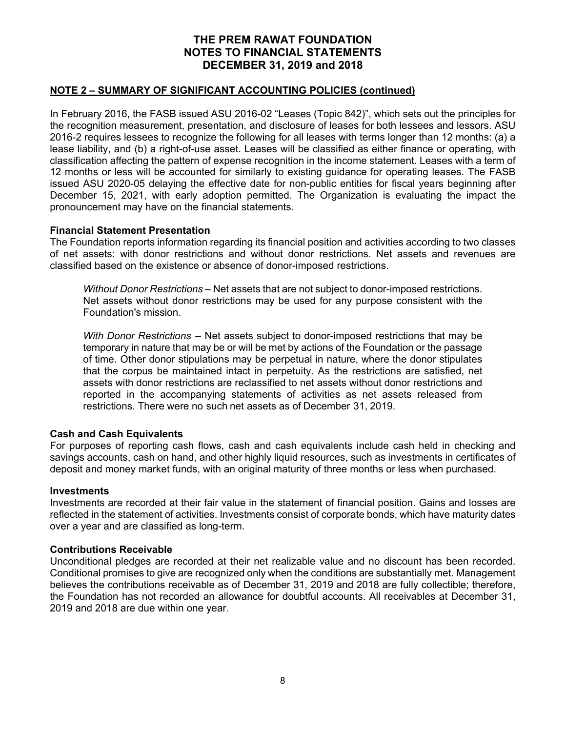## **NOTE 2 – SUMMARY OF SIGNIFICANT ACCOUNTING POLICIES (continued)**

In February 2016, the FASB issued ASU 2016-02 "Leases (Topic 842)", which sets out the principles for the recognition measurement, presentation, and disclosure of leases for both lessees and lessors. ASU 2016-2 requires lessees to recognize the following for all leases with terms longer than 12 months: (a) a lease liability, and (b) a right-of-use asset. Leases will be classified as either finance or operating, with classification affecting the pattern of expense recognition in the income statement. Leases with a term of 12 months or less will be accounted for similarly to existing guidance for operating leases. The FASB issued ASU 2020-05 delaying the effective date for non-public entities for fiscal years beginning after December 15, 2021, with early adoption permitted. The Organization is evaluating the impact the pronouncement may have on the financial statements.

#### **Financial Statement Presentation**

The Foundation reports information regarding its financial position and activities according to two classes of net assets: with donor restrictions and without donor restrictions. Net assets and revenues are classified based on the existence or absence of donor-imposed restrictions.

*Without Donor Restrictions* – Net assets that are not subject to donor-imposed restrictions. Net assets without donor restrictions may be used for any purpose consistent with the Foundation's mission.

*With Donor Restrictions* – Net assets subject to donor-imposed restrictions that may be temporary in nature that may be or will be met by actions of the Foundation or the passage of time. Other donor stipulations may be perpetual in nature, where the donor stipulates that the corpus be maintained intact in perpetuity. As the restrictions are satisfied, net assets with donor restrictions are reclassified to net assets without donor restrictions and reported in the accompanying statements of activities as net assets released from restrictions. There were no such net assets as of December 31, 2019.

# **Cash and Cash Equivalents**

For purposes of reporting cash flows, cash and cash equivalents include cash held in checking and savings accounts, cash on hand, and other highly liquid resources, such as investments in certificates of deposit and money market funds, with an original maturity of three months or less when purchased.

#### **Investments**

Investments are recorded at their fair value in the statement of financial position. Gains and losses are reflected in the statement of activities. Investments consist of corporate bonds, which have maturity dates over a year and are classified as long-term.

#### **Contributions Receivable**

Unconditional pledges are recorded at their net realizable value and no discount has been recorded. Conditional promises to give are recognized only when the conditions are substantially met. Management believes the contributions receivable as of December 31, 2019 and 2018 are fully collectible; therefore, the Foundation has not recorded an allowance for doubtful accounts. All receivables at December 31, 2019 and 2018 are due within one year.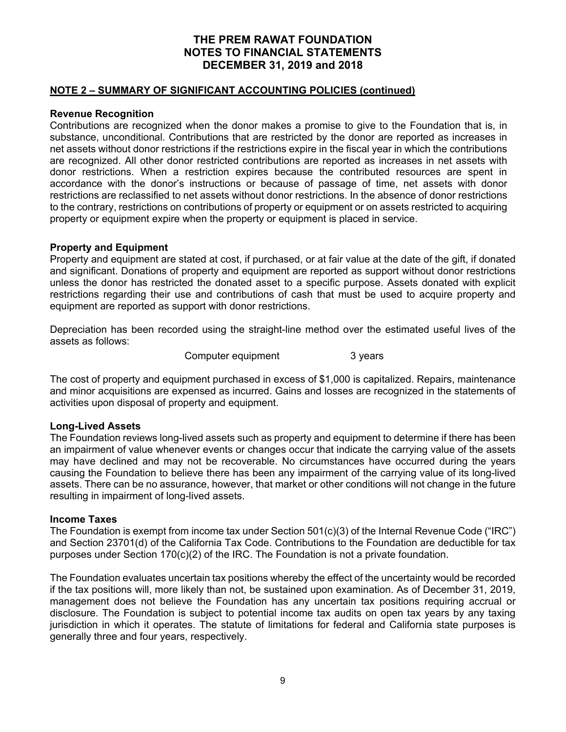### **NOTE 2 – SUMMARY OF SIGNIFICANT ACCOUNTING POLICIES (continued)**

## **Revenue Recognition**

Contributions are recognized when the donor makes a promise to give to the Foundation that is, in substance, unconditional. Contributions that are restricted by the donor are reported as increases in net assets without donor restrictions if the restrictions expire in the fiscal year in which the contributions are recognized. All other donor restricted contributions are reported as increases in net assets with donor restrictions. When a restriction expires because the contributed resources are spent in accordance with the donor's instructions or because of passage of time, net assets with donor restrictions are reclassified to net assets without donor restrictions. In the absence of donor restrictions to the contrary, restrictions on contributions of property or equipment or on assets restricted to acquiring property or equipment expire when the property or equipment is placed in service.

## **Property and Equipment**

Property and equipment are stated at cost, if purchased, or at fair value at the date of the gift, if donated and significant. Donations of property and equipment are reported as support without donor restrictions unless the donor has restricted the donated asset to a specific purpose. Assets donated with explicit restrictions regarding their use and contributions of cash that must be used to acquire property and equipment are reported as support with donor restrictions.

Depreciation has been recorded using the straight-line method over the estimated useful lives of the assets as follows:

Computer equipment 3 years

The cost of property and equipment purchased in excess of \$1,000 is capitalized. Repairs, maintenance and minor acquisitions are expensed as incurred. Gains and losses are recognized in the statements of activities upon disposal of property and equipment.

# **Long-Lived Assets**

The Foundation reviews long-lived assets such as property and equipment to determine if there has been an impairment of value whenever events or changes occur that indicate the carrying value of the assets may have declined and may not be recoverable. No circumstances have occurred during the years causing the Foundation to believe there has been any impairment of the carrying value of its long-lived assets. There can be no assurance, however, that market or other conditions will not change in the future resulting in impairment of long-lived assets.

#### **Income Taxes**

The Foundation is exempt from income tax under Section 501(c)(3) of the Internal Revenue Code ("IRC") and Section 23701(d) of the California Tax Code. Contributions to the Foundation are deductible for tax purposes under Section 170(c)(2) of the IRC. The Foundation is not a private foundation.

The Foundation evaluates uncertain tax positions whereby the effect of the uncertainty would be recorded if the tax positions will, more likely than not, be sustained upon examination. As of December 31, 2019, management does not believe the Foundation has any uncertain tax positions requiring accrual or disclosure. The Foundation is subject to potential income tax audits on open tax years by any taxing jurisdiction in which it operates. The statute of limitations for federal and California state purposes is generally three and four years, respectively.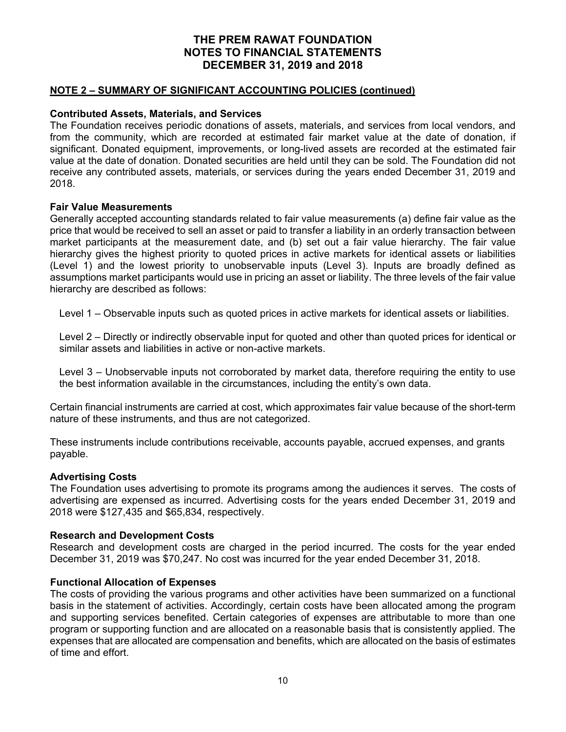### **NOTE 2 – SUMMARY OF SIGNIFICANT ACCOUNTING POLICIES (continued)**

## **Contributed Assets, Materials, and Services**

The Foundation receives periodic donations of assets, materials, and services from local vendors, and from the community, which are recorded at estimated fair market value at the date of donation, if significant. Donated equipment, improvements, or long-lived assets are recorded at the estimated fair value at the date of donation. Donated securities are held until they can be sold. The Foundation did not receive any contributed assets, materials, or services during the years ended December 31, 2019 and 2018.

#### **Fair Value Measurements**

Generally accepted accounting standards related to fair value measurements (a) define fair value as the price that would be received to sell an asset or paid to transfer a liability in an orderly transaction between market participants at the measurement date, and (b) set out a fair value hierarchy. The fair value hierarchy gives the highest priority to quoted prices in active markets for identical assets or liabilities (Level 1) and the lowest priority to unobservable inputs (Level 3). Inputs are broadly defined as assumptions market participants would use in pricing an asset or liability. The three levels of the fair value hierarchy are described as follows:

Level 1 – Observable inputs such as quoted prices in active markets for identical assets or liabilities.

Level 2 – Directly or indirectly observable input for quoted and other than quoted prices for identical or similar assets and liabilities in active or non-active markets.

Level 3 – Unobservable inputs not corroborated by market data, therefore requiring the entity to use the best information available in the circumstances, including the entity's own data.

Certain financial instruments are carried at cost, which approximates fair value because of the short-term nature of these instruments, and thus are not categorized.

These instruments include contributions receivable, accounts payable, accrued expenses, and grants payable.

#### **Advertising Costs**

The Foundation uses advertising to promote its programs among the audiences it serves. The costs of advertising are expensed as incurred. Advertising costs for the years ended December 31, 2019 and 2018 were \$127,435 and \$65,834, respectively.

#### **Research and Development Costs**

Research and development costs are charged in the period incurred. The costs for the year ended December 31, 2019 was \$70,247. No cost was incurred for the year ended December 31, 2018.

#### **Functional Allocation of Expenses**

The costs of providing the various programs and other activities have been summarized on a functional basis in the statement of activities. Accordingly, certain costs have been allocated among the program and supporting services benefited. Certain categories of expenses are attributable to more than one program or supporting function and are allocated on a reasonable basis that is consistently applied. The expenses that are allocated are compensation and benefits, which are allocated on the basis of estimates of time and effort.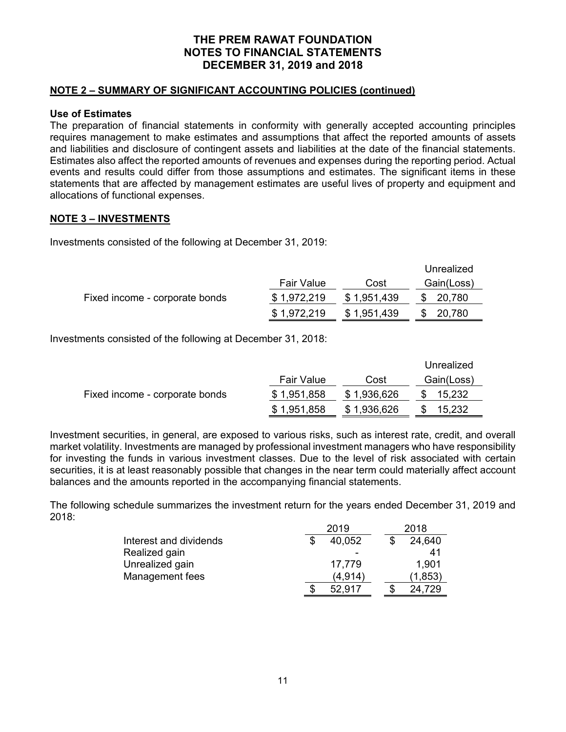## **NOTE 2 – SUMMARY OF SIGNIFICANT ACCOUNTING POLICIES (continued)**

## **Use of Estimates**

The preparation of financial statements in conformity with generally accepted accounting principles requires management to make estimates and assumptions that affect the reported amounts of assets and liabilities and disclosure of contingent assets and liabilities at the date of the financial statements. Estimates also affect the reported amounts of revenues and expenses during the reporting period. Actual events and results could differ from those assumptions and estimates. The significant items in these statements that are affected by management estimates are useful lives of property and equipment and allocations of functional expenses.

## **NOTE 3 – INVESTMENTS**

Investments consisted of the following at December 31, 2019:

|                                |                   |             | Unrealized |
|--------------------------------|-------------------|-------------|------------|
|                                | <b>Fair Value</b> | Cost        | Gain(Loss) |
| Fixed income - corporate bonds | \$1,972,219       | \$1,951,439 | \$ 20,780  |
|                                | \$1,972,219       | \$1,951,439 | \$20,780   |

Investments consisted of the following at December 31, 2018:

|                                |                   |             | Unrealized |
|--------------------------------|-------------------|-------------|------------|
|                                | <b>Fair Value</b> | Cost        | Gain(Loss) |
| Fixed income - corporate bonds | \$1,951,858       | \$1,936,626 | 15,232     |
|                                | \$1,951,858       | \$1,936,626 | 15,232     |

Investment securities, in general, are exposed to various risks, such as interest rate, credit, and overall market volatility. Investments are managed by professional investment managers who have responsibility for investing the funds in various investment classes. Due to the level of risk associated with certain securities, it is at least reasonably possible that changes in the near term could materially affect account balances and the amounts reported in the accompanying financial statements.

The following schedule summarizes the investment return for the years ended December 31, 2019 and 2018:

|                        | 2019    |  |         |  |
|------------------------|---------|--|---------|--|
| Interest and dividends | 40,052  |  | 24,640  |  |
| Realized gain          |         |  | 41      |  |
| Unrealized gain        | 17,779  |  | 1.901   |  |
| Management fees        | (4,914) |  | (1,853) |  |
|                        | 52,917  |  | 24,729  |  |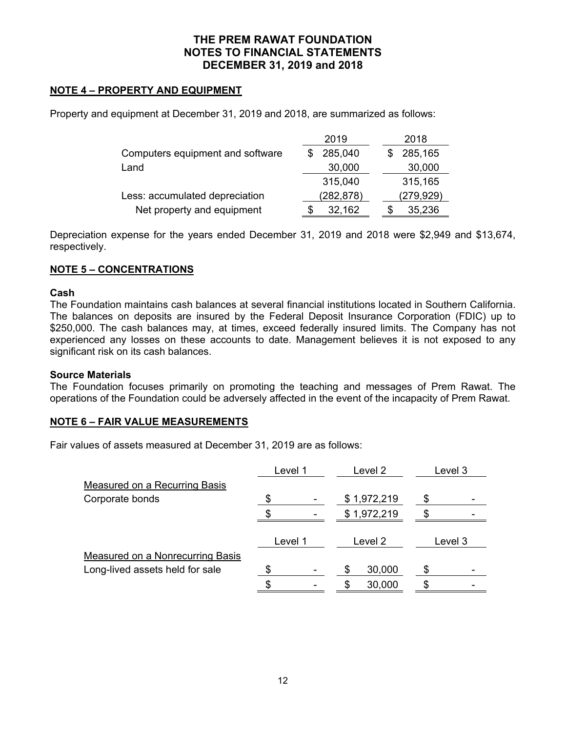# **NOTE 4 – PROPERTY AND EQUIPMENT**

Property and equipment at December 31, 2019 and 2018, are summarized as follows:

|                                  | 2019       | 2018       |
|----------------------------------|------------|------------|
| Computers equipment and software | 285,040    | 285,165    |
| Land                             | 30,000     | 30,000     |
|                                  | 315,040    | 315,165    |
| Less: accumulated depreciation   | (282, 878) | (279, 929) |
| Net property and equipment       | 32,162     | 35,236     |

Depreciation expense for the years ended December 31, 2019 and 2018 were \$2,949 and \$13,674, respectively.

# **NOTE 5 – CONCENTRATIONS**

#### **Cash**

The Foundation maintains cash balances at several financial institutions located in Southern California. The balances on deposits are insured by the Federal Deposit Insurance Corporation (FDIC) up to \$250,000. The cash balances may, at times, exceed federally insured limits. The Company has not experienced any losses on these accounts to date. Management believes it is not exposed to any significant risk on its cash balances.

#### **Source Materials**

The Foundation focuses primarily on promoting the teaching and messages of Prem Rawat. The operations of the Foundation could be adversely affected in the event of the incapacity of Prem Rawat.

# **NOTE 6 – FAIR VALUE MEASUREMENTS**

Fair values of assets measured at December 31, 2019 are as follows:

|                                         | Level 1 |         | Level 2     | Level 3 |
|-----------------------------------------|---------|---------|-------------|---------|
| <b>Measured on a Recurring Basis</b>    |         |         |             |         |
| Corporate bonds                         |         |         | \$1,972,219 |         |
|                                         |         |         | \$1,972,219 |         |
|                                         |         | Level 1 | Level 2     | Level 3 |
| <b>Measured on a Nonrecurring Basis</b> |         |         |             |         |
| Long-lived assets held for sale         |         |         | 30,000      |         |
|                                         |         |         | 30,000      |         |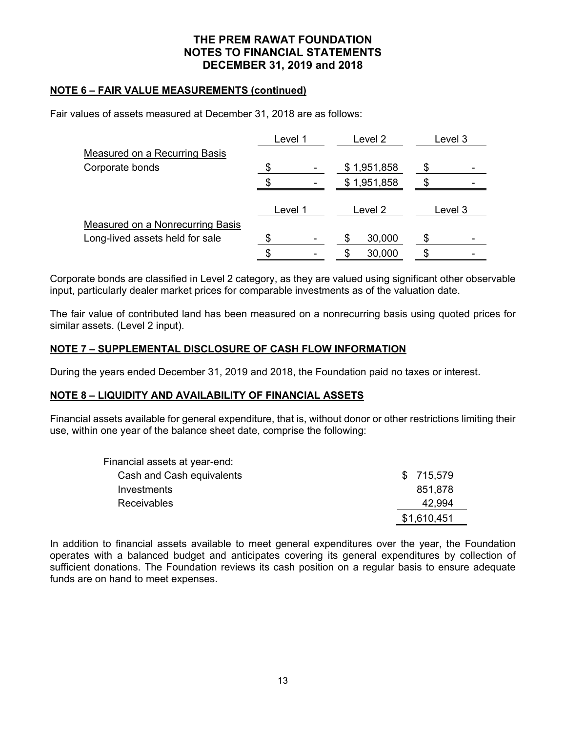## **NOTE 6 – FAIR VALUE MEASUREMENTS (continued)**

Fair values of assets measured at December 31, 2018 are as follows:

|                                         | Level 1 |         | Level 2 |             | Level 3 |
|-----------------------------------------|---------|---------|---------|-------------|---------|
| <b>Measured on a Recurring Basis</b>    |         |         |         |             |         |
| Corporate bonds                         | S.      |         |         | \$1,951,858 |         |
|                                         |         |         |         | \$1,951,858 |         |
|                                         |         | Level 1 |         | Level 2     | Level 3 |
| <b>Measured on a Nonrecurring Basis</b> |         |         |         |             |         |
| Long-lived assets held for sale         |         |         |         | 30,000      |         |
|                                         |         |         | S       | 30,000      |         |

Corporate bonds are classified in Level 2 category, as they are valued using significant other observable input, particularly dealer market prices for comparable investments as of the valuation date.

The fair value of contributed land has been measured on a nonrecurring basis using quoted prices for similar assets. (Level 2 input).

# **NOTE 7 – SUPPLEMENTAL DISCLOSURE OF CASH FLOW INFORMATION**

During the years ended December 31, 2019 and 2018, the Foundation paid no taxes or interest.

#### **NOTE 8 – LIQUIDITY AND AVAILABILITY OF FINANCIAL ASSETS**

Financial assets available for general expenditure, that is, without donor or other restrictions limiting their use, within one year of the balance sheet date, comprise the following:

| Financial assets at year-end: |             |
|-------------------------------|-------------|
| Cash and Cash equivalents     | \$ 715,579  |
| Investments                   | 851,878     |
| <b>Receivables</b>            | 42.994      |
|                               | \$1,610,451 |

In addition to financial assets available to meet general expenditures over the year, the Foundation operates with a balanced budget and anticipates covering its general expenditures by collection of sufficient donations. The Foundation reviews its cash position on a regular basis to ensure adequate funds are on hand to meet expenses.